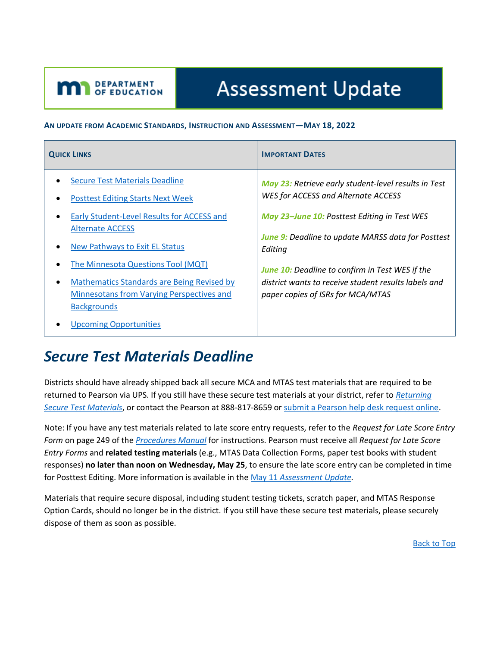# **Assessment Update**

#### **AN UPDATE FROM ACADEMIC STANDARDS, INSTRUCTION AND ASSESSMENT—MAY 18, 2022**

| <b>QUICK LINKS</b>                                                                                                                                                                                                                                                                                                                         | <b>IMPORTANT DATES</b>                                                                                                                                                                                                                                                                                                                                                     |
|--------------------------------------------------------------------------------------------------------------------------------------------------------------------------------------------------------------------------------------------------------------------------------------------------------------------------------------------|----------------------------------------------------------------------------------------------------------------------------------------------------------------------------------------------------------------------------------------------------------------------------------------------------------------------------------------------------------------------------|
| <b>Secure Test Materials Deadline</b><br><b>Posttest Editing Starts Next Week</b><br>Early Student-Level Results for ACCESS and<br><b>Alternate ACCESS</b><br>New Pathways to Exit EL Status<br>The Minnesota Questions Tool (MQT)<br>Mathematics Standards are Being Revised by<br>$\bullet$<br>Minnesotans from Varying Perspectives and | May 23: Retrieve early student-level results in Test<br>WES for ACCESS and Alternate ACCESS<br>May 23-June 10: Posttest Editing in Test WES<br><b>June 9:</b> Deadline to update MARSS data for Posttest<br>Editing<br><b>June 10:</b> Deadline to confirm in Test WES if the<br>district wants to receive student results labels and<br>paper copies of ISRs for MCA/MTAS |
| <b>Backgrounds</b><br><b>Upcoming Opportunities</b>                                                                                                                                                                                                                                                                                        |                                                                                                                                                                                                                                                                                                                                                                            |

### <span id="page-0-0"></span>*Secure Test Materials Deadline*

<span id="page-0-1"></span>**M** DEPARTMENT

Districts should have already shipped back all secure MCA and MTAS test materials that are required to be returned to Pearson via UPS. If you still have these secure test materials at your district, refer to *[Returning](http://minnesota.pearsonaccessnext.com/user-guides/)  [Secure Test Materials](http://minnesota.pearsonaccessnext.com/user-guides/)*, or contact the Pearson at 888-817-8659 o[r submit a Pearson help desk request online.](http://download.pearsonaccessnext.com/ref/WebToCase.html?p=MINNESOTA)

Note: If you have any test materials related to late score entry requests, refer to the *Request for Late Score Entry Form* on page 249 of the *[Procedures Manual](http://minnesota.pearsonaccessnext.com/policies-and-procedures/)* for instructions. Pearson must receive all *Request for Late Score Entry Forms* and **related testing materials** (e.g., MTAS Data Collection Forms, paper test books with student responses) **no later than noon on Wednesday, May 25**, to ensure the late score entry can be completed in time for Posttest Editing. More information is available in the May 11 *[Assessment Update.](http://minnesota.pearsonaccessnext.com/mde-updates/assessment-update/)*

Materials that require secure disposal, including student testing tickets, scratch paper, and MTAS Response Option Cards, should no longer be in the district. If you still have these secure test materials, please securely dispose of them as soon as possible.

[Back to Top](#page-0-1)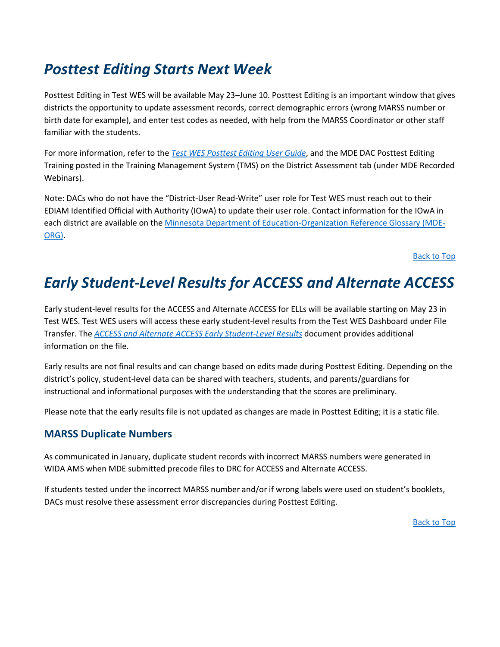# <span id="page-1-0"></span>*Posttest Editing Starts Next Week*

Posttest Editing in Test WES will be available May 23–June 10. Posttest Editing is an important window that gives districts the opportunity to update assessment records, correct demographic errors (wrong MARSS number or birth date for example), and enter test codes as needed, with help from the MARSS Coordinator or other staff familiar with the students.

For more information, refer to the *[Test WES Posttest Editing User Guide](https://education.mn.gov/MDE/dse/datasub/TestWES/)*, and the MDE DAC Posttest Editing Training posted in the Training Management System (TMS) on the District Assessment tab (under MDE Recorded Webinars).

Note: DACs who do not have the "District-User Read-Write" user role for Test WES must reach out to their EDIAM Identified Official with Authority (IOwA) to update their user role. Contact information for the IOwA in each district are available on the [Minnesota Department of Education-Organization Reference Glossary \(MDE-](https://public.education.mn.gov/MdeOrgView/)[ORG\).](https://public.education.mn.gov/MdeOrgView/)

[Back to Top](#page-0-1)

# <span id="page-1-1"></span>*Early Student-Level Results for ACCESS and Alternate ACCESS*

Early student-level results for the ACCESS and Alternate ACCESS for ELLs will be available starting on May 23 in Test WES. Test WES users will access these early student-level results from the Test WES Dashboard under File Transfer. The *[ACCESS and Alternate ACCESS Early Student-Level Results](https://education.mn.gov/MDE/dse/datasub/TestWES/)* document provides additional information on the file.

Early results are not final results and can change based on edits made during Posttest Editing. Depending on the district's policy, student-level data can be shared with teachers, students, and parents/guardians for instructional and informational purposes with the understanding that the scores are preliminary.

Please note that the early results file is not updated as changes are made in Posttest Editing; it is a static file.

#### **MARSS Duplicate Numbers**

As communicated in January, duplicate student records with incorrect MARSS numbers were generated in WIDA AMS when MDE submitted precode files to DRC for ACCESS and Alternate ACCESS.

If students tested under the incorrect MARSS number and/or if wrong labels were used on student's booklets, DACs must resolve these assessment error discrepancies during Posttest Editing.

[Back to Top](#page-0-1)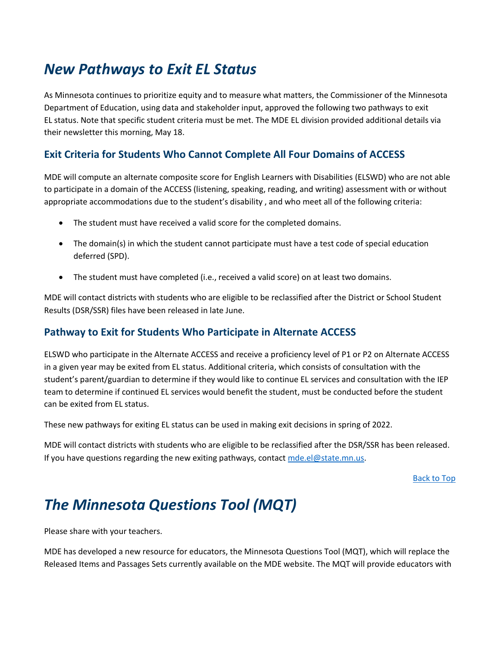## <span id="page-2-0"></span>*New Pathways to Exit EL Status*

As Minnesota continues to prioritize equity and to measure what matters, the Commissioner of the Minnesota Department of Education, using data and stakeholder input, approved the following two pathways to exit EL status. Note that specific student criteria must be met. The MDE EL division provided additional details via their newsletter this morning, May 18.

### **Exit Criteria for Students Who Cannot Complete All Four Domains of ACCESS**

MDE will compute an alternate composite score for English Learners with Disabilities (ELSWD) who are not able to participate in a domain of the ACCESS (listening, speaking, reading, and writing) assessment with or without appropriate accommodations due to the student's disability , and who meet all of the following criteria:

- The student must have received a valid score for the completed domains.
- The domain(s) in which the student cannot participate must have a test code of special education deferred (SPD).
- The student must have completed (i.e., received a valid score) on at least two domains.

MDE will contact districts with students who are eligible to be reclassified after the District or School Student Results (DSR/SSR) files have been released in late June.

### **Pathway to Exit for Students Who Participate in Alternate ACCESS**

ELSWD who participate in the Alternate ACCESS and receive a proficiency level of P1 or P2 on Alternate ACCESS in a given year may be exited from EL status. Additional criteria, which consists of consultation with the student's parent/guardian to determine if they would like to continue EL services and consultation with the IEP team to determine if continued EL services would benefit the student, must be conducted before the student can be exited from EL status.

These new pathways for exiting EL status can be used in making exit decisions in spring of 2022.

MDE will contact districts with students who are eligible to be reclassified after the DSR/SSR has been released. If you have questions regarding the new exiting pathways, contact [mde.el@state.mn.us.](mailto:mde.el@state.mn.us)

[Back to Top](#page-0-1)

### <span id="page-2-1"></span>*The Minnesota Questions Tool (MQT)*

Please share with your teachers.

MDE has developed a new resource for educators, the Minnesota Questions Tool (MQT), which will replace the Released Items and Passages Sets currently available on the MDE website. The MQT will provide educators with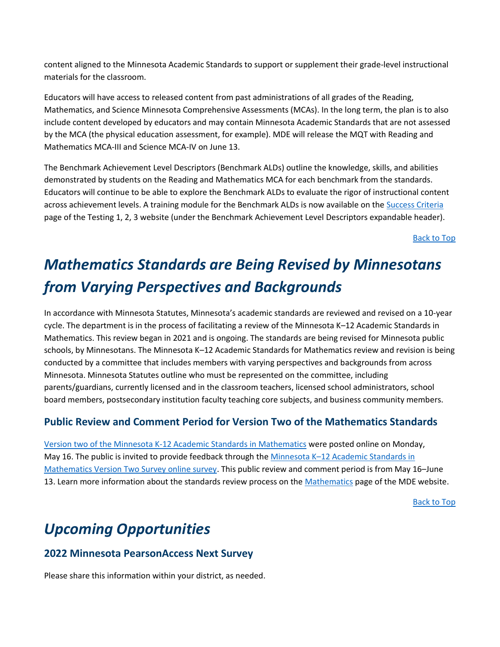content aligned to the Minnesota Academic Standards to support or supplement their grade-level instructional materials for the classroom.

Educators will have access to released content from past administrations of all grades of the Reading, Mathematics, and Science Minnesota Comprehensive Assessments (MCAs). In the long term, the plan is to also include content developed by educators and may contain Minnesota Academic Standards that are not assessed by the MCA (the physical education assessment, for example). MDE will release the MQT with Reading and Mathematics MCA-III and Science MCA-IV on June 13.

The Benchmark Achievement Level Descriptors (Benchmark ALDs) outline the knowledge, skills, and abilities demonstrated by students on the Reading and Mathematics MCA for each benchmark from the standards. Educators will continue to be able to explore the Benchmark ALDs to evaluate the rigor of instructional content across achievement levels. A training module for the Benchmark ALDs is now available on the [Success Criteria](https://testing123.education.mn.gov/test/plan/success/) page of the Testing 1, 2, 3 website (under the Benchmark Achievement Level Descriptors expandable header).

[Back to Top](#page-0-1)

# <span id="page-3-0"></span>*Mathematics Standards are Being Revised by Minnesotans from Varying Perspectives and Backgrounds*

In accordance with Minnesota Statutes, Minnesota's academic standards are reviewed and revised on a 10-year cycle. The department is in the process of facilitating a review of the Minnesota K–12 Academic Standards in Mathematics. This review began in 2021 and is ongoing. The standards are being revised for Minnesota public schools, by Minnesotans. The Minnesota K–12 Academic Standards for Mathematics review and revision is being conducted by a committee that includes members with varying perspectives and backgrounds from across Minnesota. Minnesota Statutes outline who must be represented on the committee, including parents/guardians, currently licensed and in the classroom teachers, licensed school administrators, school board members, postsecondary institution faculty teaching core subjects, and business community members.

#### **Public Review and Comment Period for Version Two of the Mathematics Standards**

[Version two of the Minnesota K-12 Academic Standards in Mathematics](https://education.mn.gov/mdeprod/idcplg?IdcService=GET_FILE&dDocName=PROD059065&RevisionSelectionMethod=latestReleased&Rendition=primary) were posted online on Monday, May 16. The public is invited to provide feedback through the Minnesota K–[12 Academic Standards in](https://www.surveymonkey.com/r/2ndversionmath)  [Mathematics Version Two Survey online survey.](https://www.surveymonkey.com/r/2ndversionmath) This public review and comment period is from May 16–June 13. Learn more information about the standards review process on the [Mathematics](https://education.mn.gov/MDE/dse/stds/Math/) page of the MDE website.

[Back to Top](#page-0-1)

# <span id="page-3-1"></span>*Upcoming Opportunities*

#### **2022 Minnesota PearsonAccess Next Survey**

Please share this information within your district, as needed.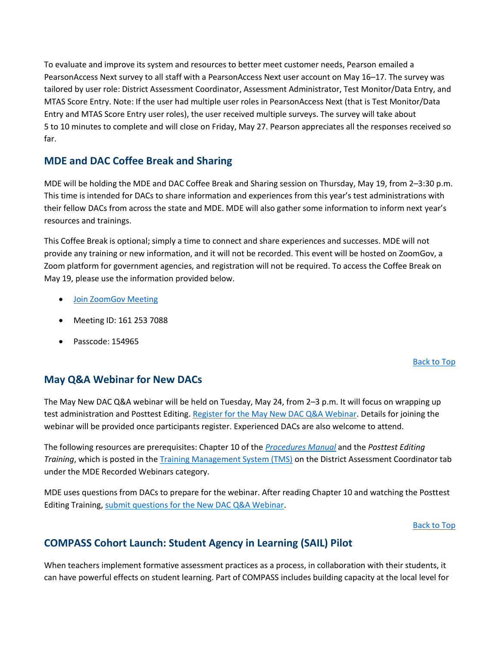To evaluate and improve its system and resources to better meet customer needs, Pearson emailed a PearsonAccess Next survey to all staff with a PearsonAccess Next user account on May 16–17. The survey was tailored by user role: District Assessment Coordinator, Assessment Administrator, Test Monitor/Data Entry, and MTAS Score Entry. Note: If the user had multiple user roles in PearsonAccess Next (that is Test Monitor/Data Entry and MTAS Score Entry user roles), the user received multiple surveys. The survey will take about 5 to 10 minutes to complete and will close on Friday, May 27. Pearson appreciates all the responses received so far.

#### **MDE and DAC Coffee Break and Sharing**

MDE will be holding the MDE and DAC Coffee Break and Sharing session on Thursday, May 19, from 2–3:30 p.m. This time is intended for DACs to share information and experiences from this year's test administrations with their fellow DACs from across the state and MDE. MDE will also gather some information to inform next year's resources and trainings.

This Coffee Break is optional; simply a time to connect and share experiences and successes. MDE will not provide any training or new information, and it will not be recorded. This event will be hosted on ZoomGov, a Zoom platform for government agencies, and registration will not be required. To access the Coffee Break on May 19, please use the information provided below.

- [Join ZoomGov Meeting](https://www.zoomgov.com/j/1612537088?pwd=NkZlQzhNbHFjNGxiYkJ4RG54Q1A5Zz09#success)
- Meeting ID: 161 253 7088
- Passcode: 154965

#### [Back to Top](#page-0-1)

### **May Q&A Webinar for New DACs**

The May New DAC Q&A webinar will be held on Tuesday, May 24, from 2–3 p.m. It will focus on wrapping up test administration and Posttest Editing. [Register for the May New DAC Q&A Webinar.](https://minnesota.webex.com/minnesota/k2/j.php?MTID=te7cfe8f63dc9315baabb1e42c613729d) Details for joining the webinar will be provided once participants register. Experienced DACs are also welcome to attend.

The following resources are prerequisites: Chapter 10 of the *[Procedures Manual](http://minnesota.pearsonaccessnext.com/policies-and-procedures/)* and the *Posttest Editing Training*, which is posted in the [Training Management System \(TMS\)](http://minnesota.pearsonaccessnext.com/training/) on the District Assessment Coordinator tab under the MDE Recorded Webinars category.

MDE uses questions from DACs to prepare for the webinar. After reading Chapter 10 and watching the Posttest Editing Training, [submit questions for the New DAC Q&A Webinar.](https://forms.office.com/pages/responsepage.aspx?id=RrAU68QkGUWPJricIVmCjOQmRPqCeKlCkDp8Dx1a8y9UQ0UwUkZVQlg2Q1lNVTRTTEpDMUVMT1YyMiQlQCN0PWcu)

#### [Back to](#page-0-1) Top

### **COMPASS Cohort Launch: Student Agency in Learning (SAIL) Pilot**

When teachers implement formative assessment practices as a process, in collaboration with their students, it can have powerful effects on student learning. Part of COMPASS includes building capacity at the local level for